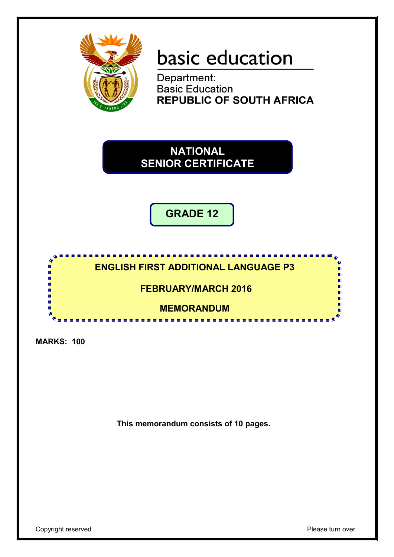

# basic education

Department:<br>Basic Education **REPUBLIC OF SOUTH AFRICA** 

**NATIONAL SENIOR CERTIFICATE**

**GRADE 12**

## **ENGLISH FIRST ADDITIONAL LANGUAGE P3**

<u>...........</u>

**FEBRUARY/MARCH 2016**

**MEMORANDUM**

<u>............................</u>

**MARKS: 100**

m I. I. I. ú, T. T. T.

**This memorandum consists of 10 pages.**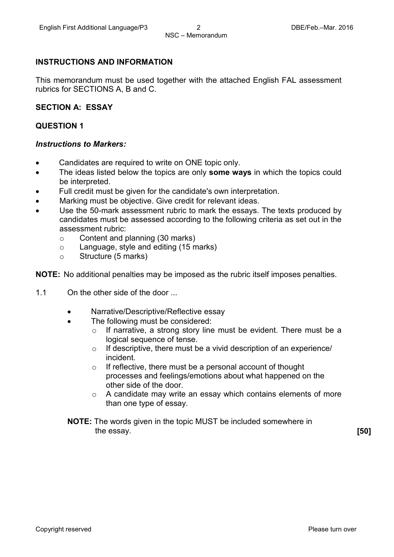#### **INSTRUCTIONS AND INFORMATION**

This memorandum must be used together with the attached English FAL assessment rubrics for SECTIONS A, B and C.

#### **SECTION A: ESSAY**

#### **QUESTION 1**

#### *Instructions to Markers:*

- Candidates are required to write on ONE topic only.
- The ideas listed below the topics are only **some ways** in which the topics could be interpreted.
- Full credit must be given for the candidate's own interpretation.
- Marking must be objective. Give credit for relevant ideas.
- Use the 50-mark assessment rubric to mark the essays. The texts produced by candidates must be assessed according to the following criteria as set out in the assessment rubric:
	- $\circ$  Content and planning (30 marks)<br> $\circ$  Language, style and editing (15 m
	- $\circ$  Language, style and editing (15 marks)<br>  $\circ$  Structure (5 marks)
	- Structure (5 marks)

**NOTE:** No additional penalties may be imposed as the rubric itself imposes penalties.

- 1.1 On the other side of the door ...
	- Narrative/Descriptive/Reflective essay
	- The following must be considered:
		- o If narrative, a strong story line must be evident. There must be a logical sequence of tense.
		- o If descriptive, there must be a vivid description of an experience/ incident.
		- o If reflective, there must be a personal account of thought processes and feelings/emotions about what happened on the other side of the door.
		- o A candidate may write an essay which contains elements of more than one type of essay.
	- **NOTE:** The words given in the topic MUST be included somewhere in the essay. **[50]**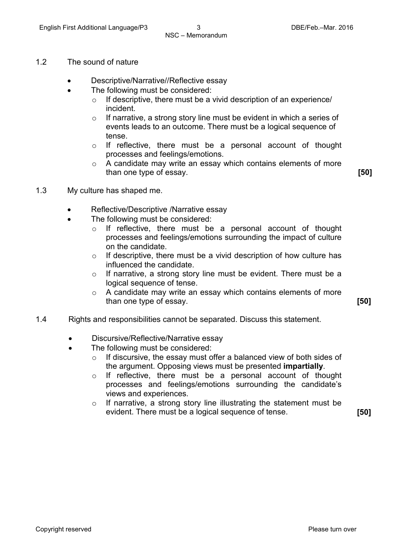- 1.2 The sound of nature
	- Descriptive/Narrative//Reflective essay
	- The following must be considered:
		- $\circ$  If descriptive, there must be a vivid description of an experience/ incident.
		- o If narrative, a strong story line must be evident in which a series of events leads to an outcome. There must be a logical sequence of tense.
		- o If reflective, there must be a personal account of thought processes and feelings/emotions.
		- o A candidate may write an essay which contains elements of more than one type of essay. **[50]**

- 1.3 My culture has shaped me.
	- Reflective/Descriptive /Narrative essay
		- The following must be considered:
			- o If reflective, there must be a personal account of thought processes and feelings/emotions surrounding the impact of culture on the candidate.
			- $\circ$  If descriptive, there must be a vivid description of how culture has influenced the candidate.
			- o If narrative, a strong story line must be evident. There must be a logical sequence of tense.
			- o A candidate may write an essay which contains elements of more than one type of essay. **[50]**
- 1.4 Rights and responsibilities cannot be separated. Discuss this statement.
	- Discursive/Reflective/Narrative essay
	- The following must be considered:
		- $\circ$  If discursive, the essay must offer a balanced view of both sides of the argument. Opposing views must be presented **impartially**.
		- o If reflective, there must be a personal account of thought processes and feelings/emotions surrounding the candidate's views and experiences.
		- $\circ$  If narrative, a strong story line illustrating the statement must be evident. There must be a logical sequence of tense. **[50]**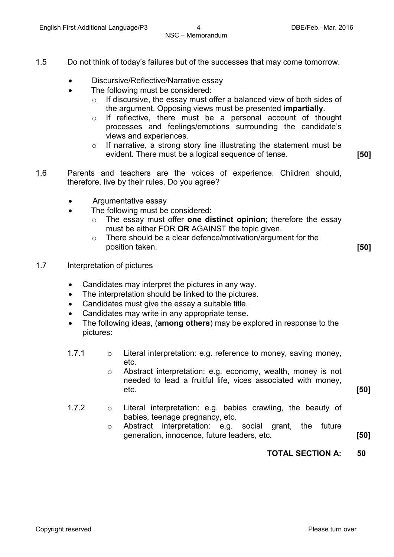- 1.5 Do not think of today's failures but of the successes that may come tomorrow.
	- Discursive/Reflective/Narrative essay
	- The following must be considered:
		- $\circ$  If discursive, the essay must offer a balanced view of both sides of the argument. Opposing views must be presented **impartially**.
		- o If reflective, there must be a personal account of thought processes and feelings/emotions surrounding the candidate's views and experiences.
		- o If narrative, a strong story line illustrating the statement must be evident. There must be a logical sequence of tense. **[50]**
- 1.6 Parents and teachers are the voices of experience. Children should, therefore, live by their rules. Do you agree?
	- Argumentative essay
	- The following must be considered:
		- o The essay must offer **one distinct opinion**; therefore the essay must be either FOR **OR** AGAINST the topic given.
		- $\circ$  There should be a clear defence/motivation/argument for the position taken. **[50]**
- 1.7 Interpretation of pictures
	- Candidates may interpret the pictures in any way.
	- The interpretation should be linked to the pictures.
	- Candidates must give the essay a suitable title.
	- Candidates may write in any appropriate tense.
	- The following ideas, (**among others**) may be explored in response to the pictures:
	- 1.7.1 o Literal interpretation: e.g. reference to money, saving money, etc.
		- o Abstract interpretation: e.g. economy, wealth, money is not needed to lead a fruitful life, vices associated with money, etc. **[50]**
	- 1.7.2 o Literal interpretation: e.g. babies crawling, the beauty of babies, teenage pregnancy, etc.
		- o Abstract interpretation: e.g. social grant, the future generation, innocence, future leaders, etc. **[50]**
			- **TOTAL SECTION A: 50**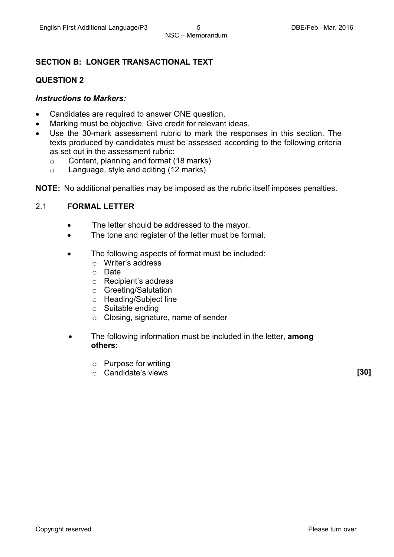#### **SECTION B: LONGER TRANSACTIONAL TEXT**

#### **QUESTION 2**

#### *Instructions to Markers:*

- Candidates are required to answer ONE question.
- Marking must be objective. Give credit for relevant ideas.
- Use the 30-mark assessment rubric to mark the responses in this section. The texts produced by candidates must be assessed according to the following criteria as set out in the assessment rubric:
	- $\circ$  Content, planning and format (18 marks)<br> $\circ$  Language, style and editing (12 marks)
	- Language, style and editing (12 marks)

**NOTE:** No additional penalties may be imposed as the rubric itself imposes penalties.

#### 2.1 **FORMAL LETTER**

- The letter should be addressed to the mayor.
- The tone and register of the letter must be formal.
- The following aspects of format must be included:
	- o Writer's address
	- o Date
	- o Recipient's address
	- o Greeting/Salutation
	- o Heading/Subject line
	- o Suitable ending
	- o Closing, signature, name of sender
- The following information must be included in the letter, **among others**:
	- o Purpose for writing
	- o Candidate's views **[30]**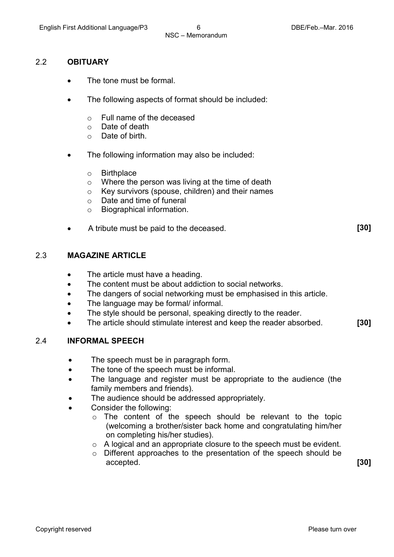#### 2.2 **OBITUARY**

- The tone must be formal.
- The following aspects of format should be included:
	- $\circ$  Full name of the deceased  $\circ$  Date of death
	- $\circ$  Date of death  $\circ$  Date of birth.
	- Date of birth.
- The following information may also be included:
	- o Birthplace
	- o Where the person was living at the time of death
	- o Key survivors (spouse, children) and their names
	- o Date and time of funeral
	- o Biographical information.
- A tribute must be paid to the deceased. **[30]**

#### 2.3 **MAGAZINE ARTICLE**

- The article must have a heading.
- The content must be about addiction to social networks.
- The dangers of social networking must be emphasised in this article.
- The language may be formal/ informal.
- The style should be personal, speaking directly to the reader.
- The article should stimulate interest and keep the reader absorbed. **[30]**

#### 2.4 **INFORMAL SPEECH**

- The speech must be in paragraph form.
- The tone of the speech must be informal.
- The language and register must be appropriate to the audience (the family members and friends).
- The audience should be addressed appropriately.
- Consider the following:
	- o The content of the speech should be relevant to the topic (welcoming a brother/sister back home and congratulating him/her on completing his/her studies).
	- o A logical and an appropriate closure to the speech must be evident.
	- o Different approaches to the presentation of the speech should be accepted. **[30]**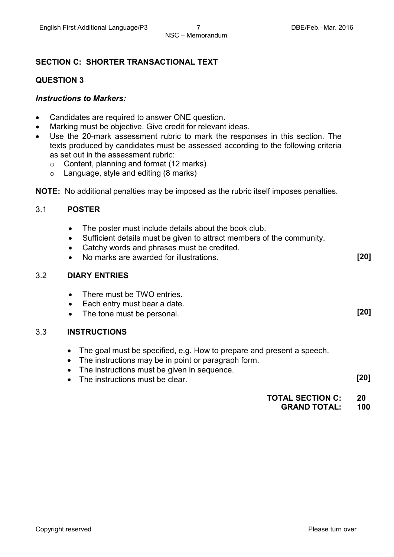#### **SECTION C: SHORTER TRANSACTIONAL TEXT**

#### **QUESTION 3**

#### *Instructions to Markers:*

- Candidates are required to answer ONE question.
- Marking must be objective. Give credit for relevant ideas.
- Use the 20-mark assessment rubric to mark the responses in this section. The texts produced by candidates must be assessed according to the following criteria as set out in the assessment rubric:
	- $\circ$  Content, planning and format (12 marks)<br> $\circ$  Language, style and editing (8 marks)
	- Language, style and editing (8 marks)
- **NOTE:** No additional penalties may be imposed as the rubric itself imposes penalties.

#### 3.1 **POSTER**

- The poster must include details about the book club.
- Sufficient details must be given to attract members of the community.
- Catchy words and phrases must be credited.
- No marks are awarded for illustrations. **[20]**

#### 3.2 **DIARY ENTRIES**

- There must be TWO entries.
- Each entry must bear a date.
- The tone must be personal. **[20]**

#### 3.3 **INSTRUCTIONS**

- The goal must be specified, e.g. How to prepare and present a speech.
- The instructions may be in point or paragraph form.
- The instructions must be given in sequence.
- The instructions must be clear. **[20]**

#### **TOTAL SECTION C: GRAND TOTAL: 20 100**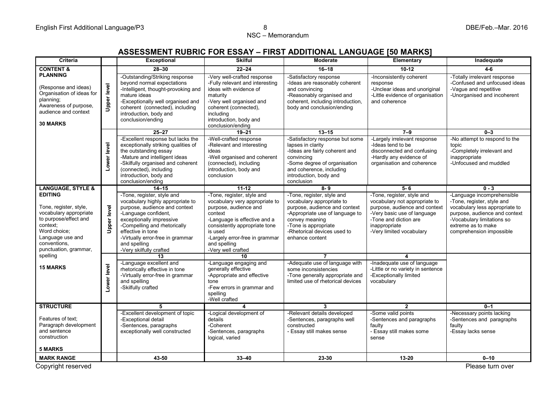NSC – Memorandum

## **ASSESSMENT RUBRIC FOR ESSAY – FIRST ADDITIONAL LANGUAGE [50 MARKS]**

| Criteria                                                                                                                                                                             |                    | <b>Exceptional</b>                                                                                                                                                                                                                                                                      | <b>Skilful</b>                                                                                                                                                                                                                                       | Moderate                                                                                                                                                                                                                | Elementary                                                                                                                                                                                        | Inadequate                                                                                                                                                                                                  |
|--------------------------------------------------------------------------------------------------------------------------------------------------------------------------------------|--------------------|-----------------------------------------------------------------------------------------------------------------------------------------------------------------------------------------------------------------------------------------------------------------------------------------|------------------------------------------------------------------------------------------------------------------------------------------------------------------------------------------------------------------------------------------------------|-------------------------------------------------------------------------------------------------------------------------------------------------------------------------------------------------------------------------|---------------------------------------------------------------------------------------------------------------------------------------------------------------------------------------------------|-------------------------------------------------------------------------------------------------------------------------------------------------------------------------------------------------------------|
| <b>CONTENT &amp;</b>                                                                                                                                                                 |                    | $28 - 30$                                                                                                                                                                                                                                                                               | $22 - 24$                                                                                                                                                                                                                                            | $16 - 18$                                                                                                                                                                                                               | $10 - 12$                                                                                                                                                                                         | $4 - 6$                                                                                                                                                                                                     |
| <b>PLANNING</b><br>(Response and ideas)<br>Organisation of ideas for<br>planning;<br>Awareness of purpose,<br>audience and context<br><b>30 MARKS</b>                                | <b>Upper level</b> | -Outstanding/Striking response<br>beyond normal expectations<br>-Intelligent, thought-provoking and<br>mature ideas<br>-Exceptionally well organised and<br>coherent (connected), including<br>introduction, body and<br>conclusion/ending                                              | -Very well-crafted response<br>-Fully relevant and interesting<br>ideas with evidence of<br>maturity<br>-Very well organised and<br>coherent (connected),<br>includina<br>introduction, body and<br>conclusion/ending                                | -Satisfactory response<br>-Ideas are reasonably coherent<br>and convincing<br>-Reasonably organised and<br>coherent, including introduction,<br>body and conclusion/ending                                              | -Inconsistently coherent<br>response<br>-Unclear ideas and unoriginal<br>-Little evidence of organisation<br>and coherence                                                                        | -Totally irrelevant response<br>-Confused and unfocused ideas<br>-Vague and repetitive<br>-Unorganised and incoherent                                                                                       |
|                                                                                                                                                                                      |                    | $25 - 27$                                                                                                                                                                                                                                                                               | $19 - 21$                                                                                                                                                                                                                                            | $13 - 15$                                                                                                                                                                                                               | $7 - 9$                                                                                                                                                                                           | $0 - 3$                                                                                                                                                                                                     |
|                                                                                                                                                                                      | Lower level        | -Excellent response but lacks the<br>exceptionally striking qualities of<br>the outstanding essay<br>-Mature and intelligent ideas<br>-Skilfully organised and coherent<br>(connected), including<br>introduction, body and<br>conclusion/ending                                        | -Well-crafted response<br>-Relevant and interesting<br>ideas<br>-Well organised and coherent<br>(connected), including<br>introduction, body and<br>conclusion                                                                                       | -Satisfactory response but some<br>lapses in clarity<br>-Ideas are fairly coherent and<br>convincing<br>-Some degree of organisation<br>and coherence, including<br>introduction, body and<br>conclusion                | -Largely irrelevant response<br>-Ideas tend to be<br>disconnected and confusing<br>-Hardly any evidence of<br>organisation and coherence                                                          | -No attempt to respond to the<br>topic<br>-Completely irrelevant and<br>inappropriate<br>-Unfocused and muddled                                                                                             |
| <b>LANGUAGE, STYLE &amp;</b>                                                                                                                                                         |                    | $14 - 15$                                                                                                                                                                                                                                                                               | $11 - 12$                                                                                                                                                                                                                                            | $8 - 9$                                                                                                                                                                                                                 | $5 - 6$                                                                                                                                                                                           | $0 - 3$                                                                                                                                                                                                     |
| <b>EDITING</b><br>Tone, register, style,<br>vocabulary appropriate<br>to purpose/effect and<br>context:<br>Word choice:<br>Language use and<br>conventions,<br>punctuation, grammar, | <b>Upper level</b> | -Tone, register, style and<br>vocabulary highly appropriate to<br>purpose, audience and context<br>-Language confident,<br>exceptionally impressive<br>-Compelling and rhetorically<br>effective in tone<br>-Virtually error-free in grammar<br>and spelling<br>-Very skilfully crafted | -Tone, register, style and<br>vocabulary very appropriate to<br>purpose, audience and<br>context<br>-Language is effective and a<br>consistently appropriate tone<br>is used<br>-Largely error-free in grammar<br>and spelling<br>-Very well crafted | -Tone, register, style and<br>vocabulary appropriate to<br>purpose, audience and context<br>-Appropriate use of language to<br>convey meaning<br>-Tone is appropriate<br>-Rhetorical devices used to<br>enhance content | -Tone, register, style and<br>vocabulary not appropriate to<br>purpose, audience and context<br>-Very basic use of language<br>-Tone and diction are<br>inappropriate<br>-Very limited vocabulary | -Language incomprehensible<br>-Tone, register, style and<br>vocabulary less appropriate to<br>purpose, audience and context<br>-Vocabulary limitations so<br>extreme as to make<br>comprehension impossible |
| spelling                                                                                                                                                                             |                    | 13                                                                                                                                                                                                                                                                                      | 10                                                                                                                                                                                                                                                   | $\overline{7}$                                                                                                                                                                                                          | 4                                                                                                                                                                                                 |                                                                                                                                                                                                             |
| <b>15 MARKS</b>                                                                                                                                                                      | Lower level        | -Language excellent and<br>rhetorically effective in tone<br>-Virtually error-free in grammar<br>and spelling<br>-Skilfully crafted                                                                                                                                                     | -Language engaging and<br>generally effective<br>-Appropriate and effective<br>tone<br>-Few errors in grammar and<br>spelling<br>-Well crafted                                                                                                       | -Adequate use of language with<br>some inconsistencies<br>-Tone generally appropriate and<br>limited use of rhetorical devices                                                                                          | -Inadequate use of language<br>-Little or no variety in sentence<br>-Exceptionally limited<br>vocabulary                                                                                          |                                                                                                                                                                                                             |
| <b>STRUCTURE</b>                                                                                                                                                                     |                    | $\overline{5}$                                                                                                                                                                                                                                                                          | 4                                                                                                                                                                                                                                                    | 3                                                                                                                                                                                                                       | $\overline{2}$                                                                                                                                                                                    | $0 - 1$                                                                                                                                                                                                     |
| Features of text:<br>Paragraph development<br>and sentence<br>construction<br><b>5 MARKS</b>                                                                                         |                    | -Excellent development of topic<br>-Exceptional detail<br>-Sentences, paragraphs<br>exceptionally well constructed                                                                                                                                                                      | -Logical development of<br>details<br>-Coherent<br>-Sentences, paragraphs<br>logical, varied                                                                                                                                                         | -Relevant details developed<br>-Sentences, paragraphs well<br>constructed<br>- Essay still makes sense                                                                                                                  | -Some valid points<br>-Sentences and paragraphs<br>faulty<br>- Essay still makes some<br>sense                                                                                                    | -Necessary points lacking<br>-Sentences and paragraphs<br>faulty<br>-Essay lacks sense                                                                                                                      |
| <b>MARK RANGE</b>                                                                                                                                                                    |                    | 43-50                                                                                                                                                                                                                                                                                   | $33 - 40$                                                                                                                                                                                                                                            | 23-30                                                                                                                                                                                                                   | 13-20                                                                                                                                                                                             | $0 - 10$                                                                                                                                                                                                    |
| Copyright reserved<br>Please turn over                                                                                                                                               |                    |                                                                                                                                                                                                                                                                                         |                                                                                                                                                                                                                                                      |                                                                                                                                                                                                                         |                                                                                                                                                                                                   |                                                                                                                                                                                                             |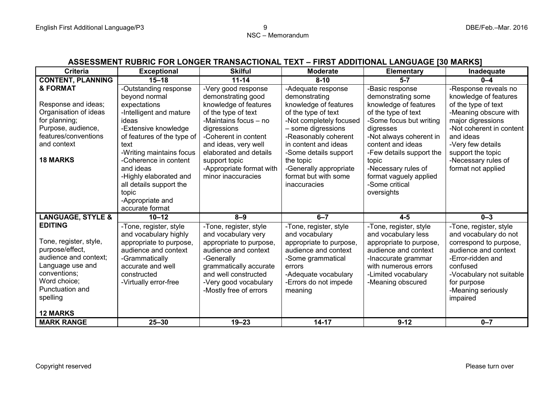## **ASSESSMENT RUBRIC FOR LONGER TRANSACTIONAL TEXT – FIRST ADDITIONAL LANGUAGE [30 MARKS]**

| <b>Criteria</b>              | <b>Exceptional</b>         | <b>Skilful</b>           | <b>Moderate</b>         | Elementary               | Inadequate               |
|------------------------------|----------------------------|--------------------------|-------------------------|--------------------------|--------------------------|
| <b>CONTENT, PLANNING</b>     | $15 - 18$                  | $11 - 14$                | $8 - 10$                | $5 - 7$                  | $0 - 4$                  |
| & FORMAT                     | -Outstanding response      | -Very good response      | -Adequate response      | -Basic response          | -Response reveals no     |
|                              | beyond normal              | demonstrating good       | demonstrating           | demonstrating some       | knowledge of features    |
| Response and ideas;          | expectations               | knowledge of features    | knowledge of features   | knowledge of features    | of the type of text      |
| Organisation of ideas        | -Intelligent and mature    | of the type of text      | of the type of text     | of the type of text      | -Meaning obscure with    |
| for planning;                | ideas                      | -Maintains focus - no    | -Not completely focused | -Some focus but writing  | major digressions        |
| Purpose, audience,           | -Extensive knowledge       | digressions              | - some digressions      | digresses                | -Not coherent in content |
| features/conventions         | of features of the type of | -Coherent in content     | -Reasonably coherent    | -Not always coherent in  | and ideas                |
| and context                  | text                       | and ideas, very well     | in content and ideas    | content and ideas        | -Very few details        |
|                              | -Writing maintains focus   | elaborated and details   | -Some details support   | -Few details support the | support the topic        |
| <b>18 MARKS</b>              | -Coherence in content      | support topic            | the topic               | topic                    | -Necessary rules of      |
|                              | and ideas                  | -Appropriate format with | -Generally appropriate  | -Necessary rules of      | format not applied       |
|                              | -Highly elaborated and     | minor inaccuracies       | format but with some    | format vaguely applied   |                          |
|                              | all details support the    |                          | inaccuracies            | -Some critical           |                          |
|                              | topic                      |                          |                         | oversights               |                          |
|                              | -Appropriate and           |                          |                         |                          |                          |
|                              | accurate format            |                          |                         |                          |                          |
| <b>LANGUAGE, STYLE &amp;</b> | $10 - 12$                  | $8 - 9$                  | $6 - 7$                 | $4 - 5$                  | $0 - 3$                  |
| <b>EDITING</b>               | -Tone, register, style     | -Tone, register, style   | -Tone, register, style  | -Tone, register, style   | -Tone, register, style   |
|                              | and vocabulary highly      | and vocabulary very      | and vocabulary          | and vocabulary less      | and vocabulary do not    |
| Tone, register, style,       | appropriate to purpose,    | appropriate to purpose,  | appropriate to purpose, | appropriate to purpose,  | correspond to purpose,   |
| purpose/effect,              | audience and context       | audience and context     | audience and context    | audience and context     | audience and context     |
| audience and context;        | -Grammatically             | -Generally               | -Some grammatical       | -Inaccurate grammar      | -Error-ridden and        |
| Language use and             | accurate and well          | grammatically accurate   | errors                  | with numerous errors     | confused                 |
| conventions;                 | constructed                | and well constructed     | -Adequate vocabulary    | -Limited vocabulary      | -Vocabulary not suitable |
| Word choice;                 | -Virtually error-free      | -Very good vocabulary    | -Errors do not impede   | -Meaning obscured        | for purpose              |
| Punctuation and              |                            | -Mostly free of errors   | meaning                 |                          | -Meaning seriously       |
| spelling                     |                            |                          |                         |                          | impaired                 |
|                              |                            |                          |                         |                          |                          |
| <b>12 MARKS</b>              |                            |                          |                         |                          |                          |
| <b>MARK RANGE</b>            | $25 - 30$                  | $19 - 23$                | $14 - 17$               | $9 - 12$                 | $0 - 7$                  |